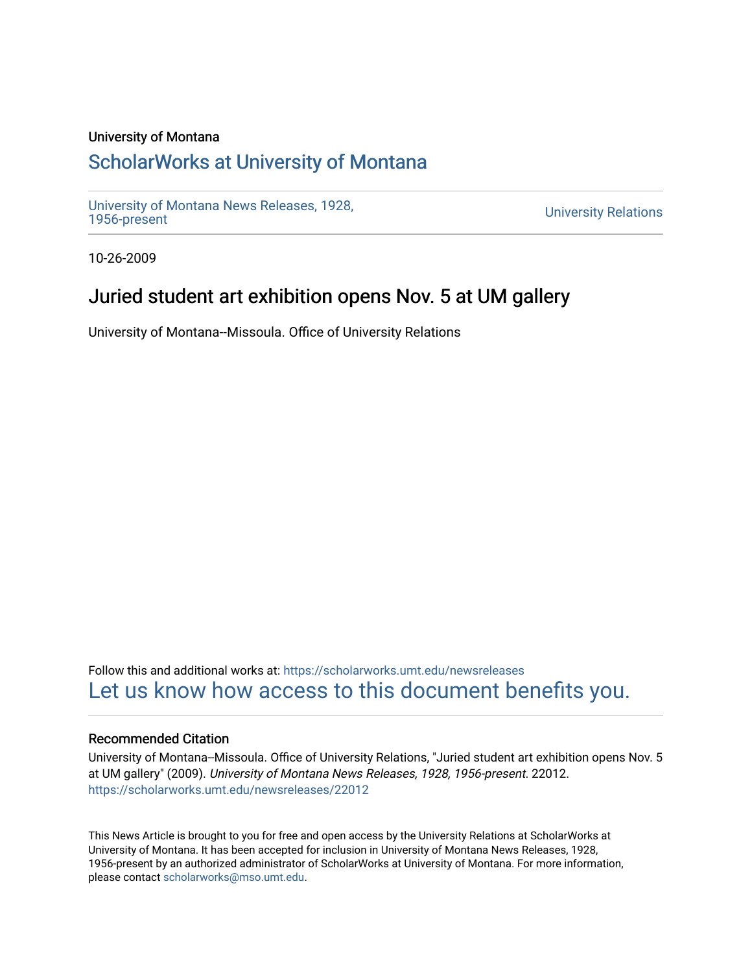### University of Montana

# [ScholarWorks at University of Montana](https://scholarworks.umt.edu/)

[University of Montana News Releases, 1928,](https://scholarworks.umt.edu/newsreleases) 

**University Relations** 

10-26-2009

## Juried student art exhibition opens Nov. 5 at UM gallery

University of Montana--Missoula. Office of University Relations

Follow this and additional works at: [https://scholarworks.umt.edu/newsreleases](https://scholarworks.umt.edu/newsreleases?utm_source=scholarworks.umt.edu%2Fnewsreleases%2F22012&utm_medium=PDF&utm_campaign=PDFCoverPages) [Let us know how access to this document benefits you.](https://goo.gl/forms/s2rGfXOLzz71qgsB2) 

#### Recommended Citation

University of Montana--Missoula. Office of University Relations, "Juried student art exhibition opens Nov. 5 at UM gallery" (2009). University of Montana News Releases, 1928, 1956-present. 22012. [https://scholarworks.umt.edu/newsreleases/22012](https://scholarworks.umt.edu/newsreleases/22012?utm_source=scholarworks.umt.edu%2Fnewsreleases%2F22012&utm_medium=PDF&utm_campaign=PDFCoverPages) 

This News Article is brought to you for free and open access by the University Relations at ScholarWorks at University of Montana. It has been accepted for inclusion in University of Montana News Releases, 1928, 1956-present by an authorized administrator of ScholarWorks at University of Montana. For more information, please contact [scholarworks@mso.umt.edu.](mailto:scholarworks@mso.umt.edu)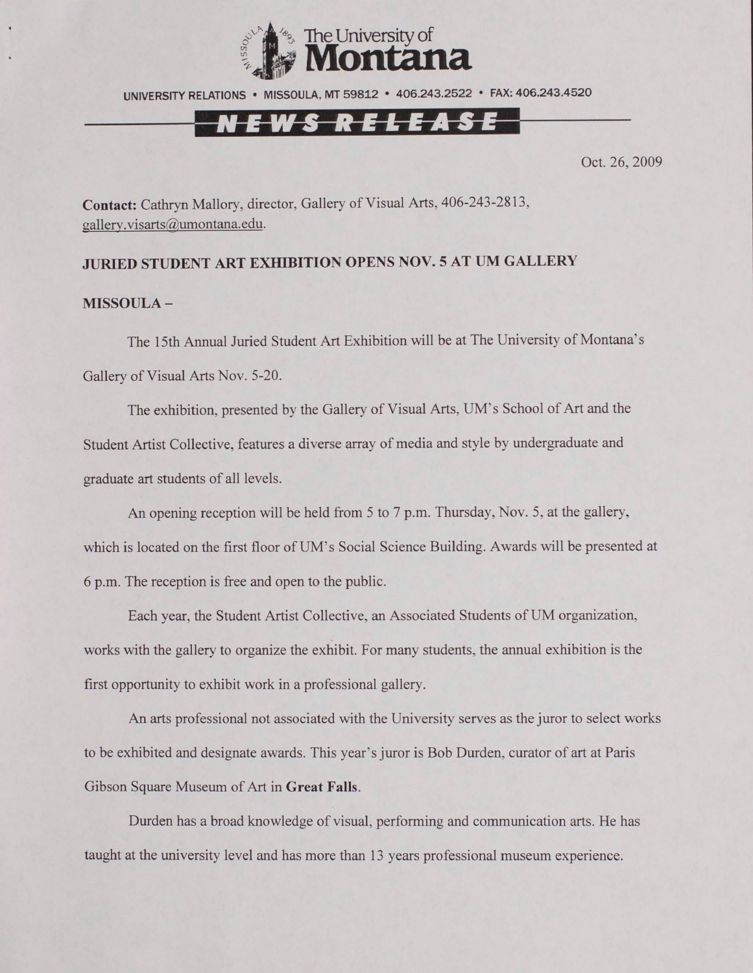

### <u>N E W S R E L E A S E </u>

Oct. 26, 2009

**Contact:** Cathryn Mallory, director, Gallery of Visual Arts, 406-243-2813, [gallerv.visarts@umontana.edu.](mailto:gallerv.visarts@umontana.edu)

#### **JURIED STUDENT ART EXHIBITION OPENS NOV. 5 AT UM GALLERY**

#### **MISSOULA -**

The 15th Annual Juried Student Art Exhibition will be at The University of Montana's Gallery of Visual Arts Nov. 5-20.

The exhibition, presented by the Gallery of Visual Arts, UM's School of Art and the Student Artist Collective, features a diverse array of media and style by undergraduate and graduate art students of all levels.

An opening reception will be held from 5 to 7 p.m. Thursday, Nov. 5, at the gallery, which is located on the first floor of UM's Social Science Building. Awards will be presented at 6 p.m. The reception is free and open to the public.

Each year, the Student Artist Collective, an Associated Students of UM organization, works with the gallery to organize the exhibit. For many students, the annual exhibition is the first opportunity to exhibit work in a professional gallery.

An arts professional not associated with the University serves as the juror to select works to be exhibited and designate awards. This year's juror is Bob Durden, curator of art at Paris Gibson Square Museum of Art in **Great Falls.**

Durden has a broad knowledge of visual, performing and communication arts. He has taught at the university level and has more than 13 years professional museum experience.